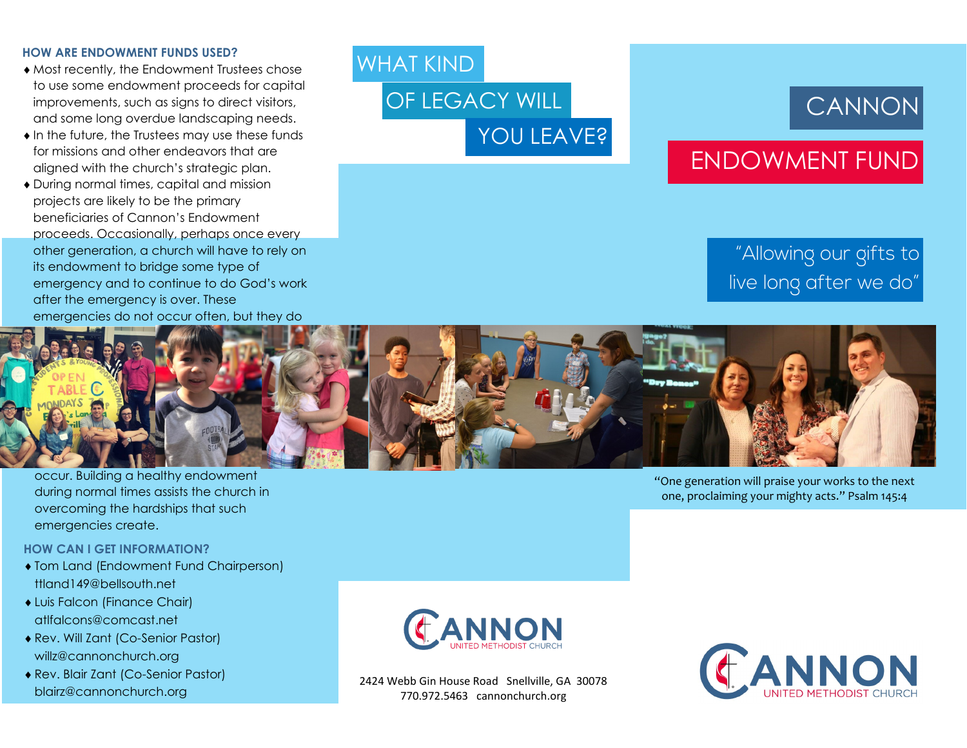#### **HOW ARE ENDOWMENT FUNDS USED?**

- Most recently, the Endowment Trustees chose to use some endowment proceeds for capital improvements, such as signs to direct visitors, and some long overdue landscaping needs.
- $\bullet$  In the future, the Trustees may use these funds for missions and other endeavors that are aligned with the church's strategic plan.
- During normal times, capital and mission projects are likely to be the primary beneficiaries of Cannon's Endowment proceeds. Occasionally, perhaps once every other generation, a church will have to rely on its endowment to bridge some type of emergency and to continue to do God's work after the emergency is over. These emergencies do not occur often, but they do

### WHAT KIND

OF LEGACY WILL YOU LEAVE?

# **CANNON**

## ENDOWMENT FUND

### "Allowing our gifts to live long after we do"



occur. Building a healthy endowment during normal times assists the church in overcoming the hardships that such emergencies create.

#### **HOW CAN I GET INFORMATION?**

- Tom Land (Endowment Fund Chairperson) ttland149@bellsouth.net
- Luis Falcon (Finance Chair) atlfalcons@comcast.net
- Rev. Will Zant (Co-Senior Pastor) willz@cannonchurch.org
- Rev. Blair Zant (Co-Senior Pastor) blairz@cannonchurch.org



2424 Webb Gin House Road Snellville, GA 30078 770.972.5463 cannonchurch.org



"One generation will praise your works to the next one, proclaiming your mighty acts." Psalm 145:4